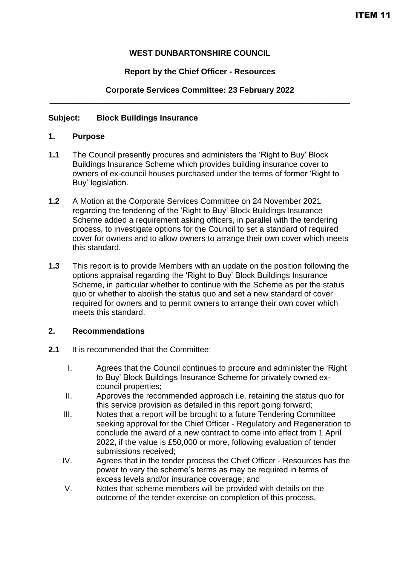# **WEST DUNBARTONSHIRE COUNCIL**

## **Report by the Chief Officer - Resources**

#### **Corporate Services Committee: 23 February 2022** \_\_\_\_\_\_\_\_\_\_\_\_\_\_\_\_\_\_\_\_\_\_\_\_\_\_\_\_\_\_\_\_\_\_\_\_\_\_\_\_\_\_\_\_\_\_\_\_\_\_\_\_\_\_\_\_\_\_\_\_\_\_\_\_\_\_\_

### **Subject: Block Buildings Insurance**

#### **1. Purpose**

- **1.1** The Council presently procures and administers the 'Right to Buy' Block Buildings Insurance Scheme which provides building insurance cover to owners of ex-council houses purchased under the terms of former 'Right to Buy' legislation.
- **1.2** A Motion at the Corporate Services Committee on 24 November 2021 regarding the tendering of the 'Right to Buy' Block Buildings Insurance Scheme added a requirement asking officers, in parallel with the tendering process, to investigate options for the Council to set a standard of required cover for owners and to allow owners to arrange their own cover which meets this standard.
- **1.3** This report is to provide Members with an update on the position following the options appraisal regarding the 'Right to Buy' Block Buildings Insurance Scheme, in particular whether to continue with the Scheme as per the status quo or whether to abolish the status quo and set a new standard of cover required for owners and to permit owners to arrange their own cover which meets this standard.

### **2. Recommendations**

- **2.1** It is recommended that the Committee:
	- I. Agrees that the Council continues to procure and administer the 'Right to Buy' Block Buildings Insurance Scheme for privately owned excouncil properties;
	- II. Approves the recommended approach i.e. retaining the status quo for this service provision as detailed in this report going forward;
	- III. Notes that a report will be brought to a future Tendering Committee seeking approval for the Chief Officer - Regulatory and Regeneration to conclude the award of a new contract to come into effect from 1 April 2022, if the value is £50,000 or more, following evaluation of tender submissions received;
	- IV. Agrees that in the tender process the Chief Officer Resources has the power to vary the scheme's terms as may be required in terms of excess levels and/or insurance coverage; and
	- V. Notes that scheme members will be provided with details on the outcome of the tender exercise on completion of this process.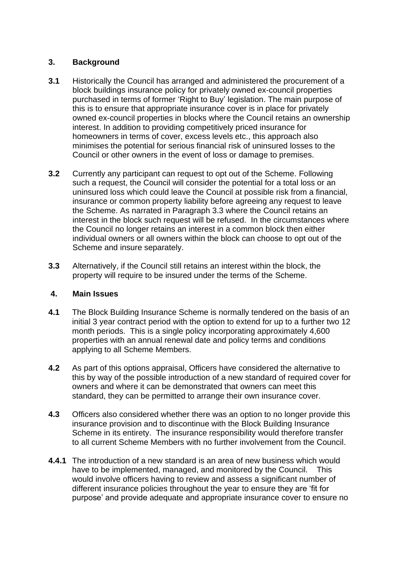## **3. Background**

- **3.1** Historically the Council has arranged and administered the procurement of a block buildings insurance policy for privately owned ex-council properties purchased in terms of former 'Right to Buy' legislation. The main purpose of this is to ensure that appropriate insurance cover is in place for privately owned ex-council properties in blocks where the Council retains an ownership interest. In addition to providing competitively priced insurance for homeowners in terms of cover, excess levels etc., this approach also minimises the potential for serious financial risk of uninsured losses to the Council or other owners in the event of loss or damage to premises.
- **3.2** Currently any participant can request to opt out of the Scheme. Following such a request, the Council will consider the potential for a total loss or an uninsured loss which could leave the Council at possible risk from a financial, insurance or common property liability before agreeing any request to leave the Scheme. As narrated in Paragraph 3.3 where the Council retains an interest in the block such request will be refused. In the circumstances where the Council no longer retains an interest in a common block then either individual owners or all owners within the block can choose to opt out of the Scheme and insure separately.
- **3.3** Alternatively, if the Council still retains an interest within the block, the property will require to be insured under the terms of the Scheme.

### **4. Main Issues**

- **4.1** The Block Building Insurance Scheme is normally tendered on the basis of an initial 3 year contract period with the option to extend for up to a further two 12 month periods. This is a single policy incorporating approximately 4,600 properties with an annual renewal date and policy terms and conditions applying to all Scheme Members.
- **4.2** As part of this options appraisal, Officers have considered the alternative to this by way of the possible introduction of a new standard of required cover for owners and where it can be demonstrated that owners can meet this standard, they can be permitted to arrange their own insurance cover.
- **4.3** Officers also considered whether there was an option to no longer provide this insurance provision and to discontinue with the Block Building Insurance Scheme in its entirety. The insurance responsibility would therefore transfer to all current Scheme Members with no further involvement from the Council.
- **4.4.1** The introduction of a new standard is an area of new business which would have to be implemented, managed, and monitored by the Council. This would involve officers having to review and assess a significant number of different insurance policies throughout the year to ensure they are 'fit for purpose' and provide adequate and appropriate insurance cover to ensure no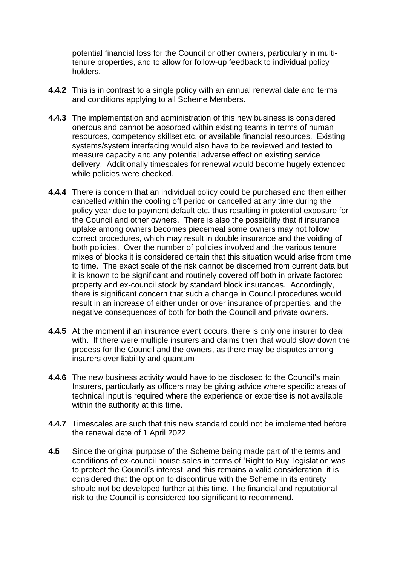potential financial loss for the Council or other owners, particularly in multitenure properties, and to allow for follow-up feedback to individual policy holders.

- **4.4.2** This is in contrast to a single policy with an annual renewal date and terms and conditions applying to all Scheme Members.
- **4.4.3** The implementation and administration of this new business is considered onerous and cannot be absorbed within existing teams in terms of human resources, competency skillset etc. or available financial resources. Existing systems/system interfacing would also have to be reviewed and tested to measure capacity and any potential adverse effect on existing service delivery. Additionally timescales for renewal would become hugely extended while policies were checked.
- **4.4.4** There is concern that an individual policy could be purchased and then either cancelled within the cooling off period or cancelled at any time during the policy year due to payment default etc. thus resulting in potential exposure for the Council and other owners. There is also the possibility that if insurance uptake among owners becomes piecemeal some owners may not follow correct procedures, which may result in double insurance and the voiding of both policies. Over the number of policies involved and the various tenure mixes of blocks it is considered certain that this situation would arise from time to time. The exact scale of the risk cannot be discerned from current data but it is known to be significant and routinely covered off both in private factored property and ex-council stock by standard block insurances. Accordingly, there is significant concern that such a change in Council procedures would result in an increase of either under or over insurance of properties, and the negative consequences of both for both the Council and private owners.
- **4.4.5** At the moment if an insurance event occurs, there is only one insurer to deal with. If there were multiple insurers and claims then that would slow down the process for the Council and the owners, as there may be disputes among insurers over liability and quantum
- **4.4.6** The new business activity would have to be disclosed to the Council's main Insurers, particularly as officers may be giving advice where specific areas of technical input is required where the experience or expertise is not available within the authority at this time.
- **4.4.7** Timescales are such that this new standard could not be implemented before the renewal date of 1 April 2022.
- **4.5** Since the original purpose of the Scheme being made part of the terms and conditions of ex-council house sales in terms of 'Right to Buy' legislation was to protect the Council's interest, and this remains a valid consideration, it is considered that the option to discontinue with the Scheme in its entirety should not be developed further at this time. The financial and reputational risk to the Council is considered too significant to recommend.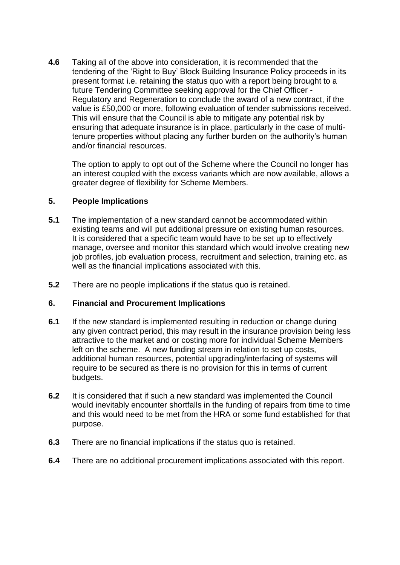**4.6** Taking all of the above into consideration, it is recommended that the tendering of the 'Right to Buy' Block Building Insurance Policy proceeds in its present format i.e. retaining the status quo with a report being brought to a future Tendering Committee seeking approval for the Chief Officer - Regulatory and Regeneration to conclude the award of a new contract, if the value is £50,000 or more, following evaluation of tender submissions received. This will ensure that the Council is able to mitigate any potential risk by ensuring that adequate insurance is in place, particularly in the case of multitenure properties without placing any further burden on the authority's human and/or financial resources.

The option to apply to opt out of the Scheme where the Council no longer has an interest coupled with the excess variants which are now available, allows a greater degree of flexibility for Scheme Members.

### **5. People Implications**

- **5.1** The implementation of a new standard cannot be accommodated within existing teams and will put additional pressure on existing human resources. It is considered that a specific team would have to be set up to effectively manage, oversee and monitor this standard which would involve creating new job profiles, job evaluation process, recruitment and selection, training etc. as well as the financial implications associated with this.
- **5.2** There are no people implications if the status quo is retained.

### **6. Financial and Procurement Implications**

- **6.1** If the new standard is implemented resulting in reduction or change during any given contract period, this may result in the insurance provision being less attractive to the market and or costing more for individual Scheme Members left on the scheme. A new funding stream in relation to set up costs, additional human resources, potential upgrading/interfacing of systems will require to be secured as there is no provision for this in terms of current budgets.
- **6.2** It is considered that if such a new standard was implemented the Council would inevitably encounter shortfalls in the funding of repairs from time to time and this would need to be met from the HRA or some fund established for that purpose.
- **6.3** There are no financial implications if the status quo is retained.
- **6.4** There are no additional procurement implications associated with this report.